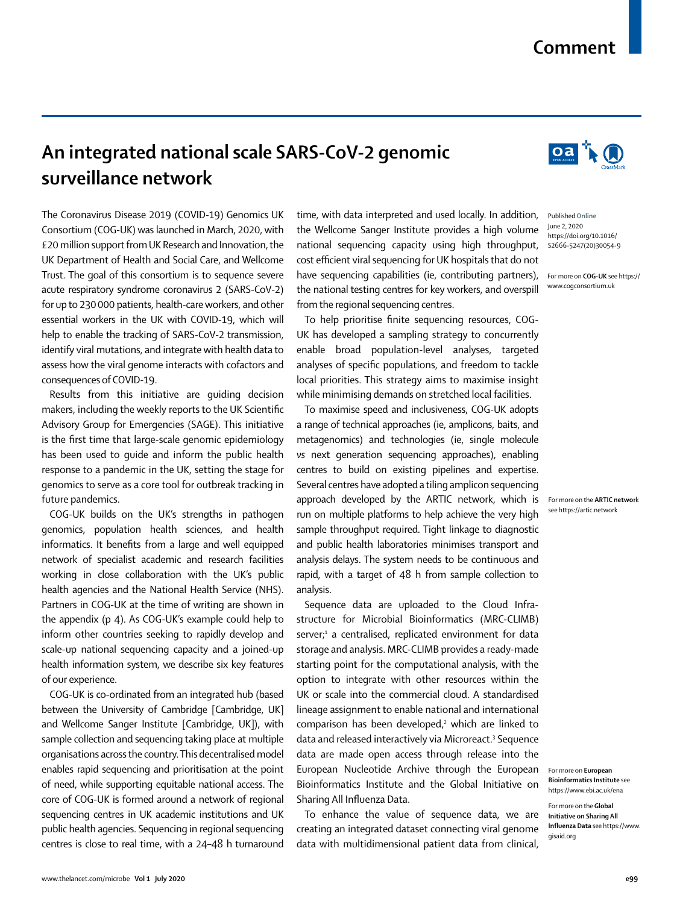## **Comment**

## **An integrated national scale SARS-CoV-2 genomic surveillance network**

The Coronavirus Disease 2019 (COVID-19) [Genomics UK](https://www.cogconsortium.uk)  [Consortium](https://www.cogconsortium.uk) (COG-UK) was launched in March, 2020, with £20 million support from UK Research and Innovation, the UK Department of Health and Social Care, and Wellcome Trust. The goal of this consortium is to sequence severe acute respiratory syndrome coronavirus 2 (SARS-CoV-2) for up to 230000 patients, health-care workers, and other essential workers in the UK with COVID-19, which will help to enable the tracking of SARS-CoV-2 transmission, identify viral mutations, and integrate with health data to assess how the viral genome interacts with cofactors and consequences of COVID-19.

Results from this initiative are guiding decision makers, including the weekly reports to the UK Scientific Advisory Group for Emergencies (SAGE). This initiative is the first time that large-scale genomic epidemiology has been used to guide and inform the public health response to a pandemic in the UK, setting the stage for genomics to serve as a core tool for outbreak tracking in future pandemics.

COG-UK builds on the UK's strengths in pathogen genomics, population health sciences, and health informatics. It benefits from a large and well equipped network of specialist academic and research facilities working in close collaboration with the UK's public health agencies and the National Health Service (NHS). Partners in COG-UK at the time of writing are shown in the appendix (p 4). As COG-UK's example could help to inform other countries seeking to rapidly develop and scale-up national sequencing capacity and a joined-up health information system, we describe six key features of our experience.

COG-UK is co-ordinated from an integrated hub (based between the University of Cambridge [Cambridge, UK] and Wellcome Sanger Institute [Cambridge, UK]), with sample collection and sequencing taking place at multiple organisations across the country. This decentralised model enables rapid sequencing and prioritisation at the point of need, while supporting equitable national access. The core of COG-UK is formed around a network of regional sequencing centres in UK academic institutions and UK public health agencies. Sequencing in regional sequencing centres is close to real time, with a 24–48 h turnaround time, with data interpreted and used locally. In addition, the Wellcome Sanger Institute provides a high volume national sequencing capacity using high throughput, cost efficient viral sequencing for UK hospitals that do not have sequencing capabilities (ie, contributing partners), the national testing centres for key workers, and overspill from the regional sequencing centres.

To help prioritise finite sequencing resources, COG-UK has developed a sampling strategy to concurrently enable broad population-level analyses, targeted analyses of specific populations, and freedom to tackle local priorities. This strategy aims to maximise insight while minimising demands on stretched local facilities.

To maximise speed and inclusiveness, COG-UK adopts a range of technical approaches (ie, amplicons, baits, and metagenomics) and technologies (ie, single molecule *vs* next generation sequencing approaches), enabling centres to build on existing pipelines and expertise. Several centres have adopted a tiling amplicon sequencing approach developed by the [ARTIC network,](https://artic.network) which is run on multiple platforms to help achieve the very high sample throughput required. Tight linkage to diagnostic and public health laboratories minimises transport and analysis delays. The system needs to be continuous and rapid, with a target of 48 h from sample collection to analysis.

Sequence data are uploaded to the Cloud Infrastructure for Microbial Bioinformatics (MRC-CLIMB) server;<sup>1</sup> a centralised, replicated environment for data storage and analysis. MRC-CLIMB provides a ready-made starting point for the computational analysis, with the option to integrate with other resources within the UK or scale into the commercial cloud. A standardised lineage assignment to enable national and international comparison has been developed,<sup>2</sup> which are linked to data and released interactively via Microreact.<sup>3</sup> Sequence data are made open access through release into the European Nucleotide Archive through the [European](https://www.ebi.ac.uk/ena) [Bioinformatics Institute](https://www.ebi.ac.uk/ena) and the [Global Initiative on](https://www.gisaid.org) [Sharing All Influenza Data](https://www.gisaid.org).

To enhance the value of sequence data, we are creating an integrated dataset connecting viral genome data with multidimensional patient data from clinical,



 $0a \nbrace b$ 

Published **Online** June 2, 2020 https://doi.org/10.1016/ S2666-5247(20)30054-9

For more on **COG-UK** see https:// www.cogconsortium.uk

For more on the **ARTIC networ**k see https://artic.network

For more on **European Bioinformatics Institute** see https://www.ebi.ac.uk/ena

For more on the **Global Initiative on Sharing All Influenza Data** see https://www. gisaid.org